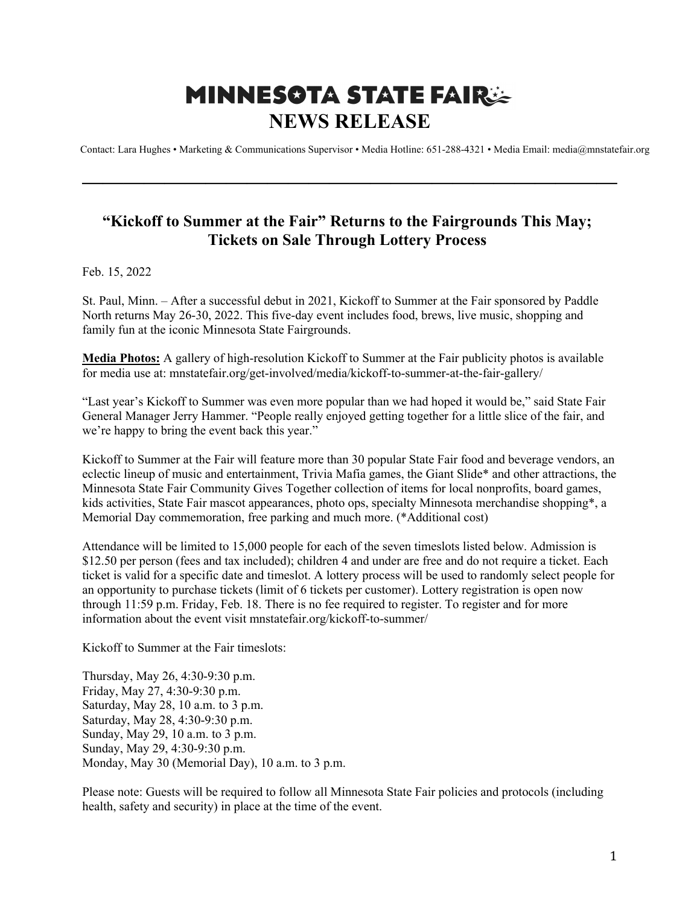## **MINNESOTA STATE FAIRSE NEWS RELEASE**

Contact: Lara Hughes • Marketing & Communications Supervisor • Media Hotline: 651-288-4321 • Media Email: media@mnstatefair.org

## **"Kickoff to Summer at the Fair" Returns to the Fairgrounds This May; Tickets on Sale Through Lottery Process**

**——————————————————————————**

Feb. 15, 2022

St. Paul, Minn. – After a successful debut in 2021, Kickoff to Summer at the Fair sponsored by Paddle North returns May 26-30, 2022. This five-day event includes food, brews, live music, shopping and family fun at the iconic Minnesota State Fairgrounds.

**Media Photos:** A gallery of high-resolution Kickoff to Summer at the Fair publicity photos is available for media use at: mnstatefair.org/get-involved/media/kickoff-to-summer-at-the-fair-gallery/

"Last year's Kickoff to Summer was even more popular than we had hoped it would be," said State Fair General Manager Jerry Hammer. "People really enjoyed getting together for a little slice of the fair, and we're happy to bring the event back this year."

Kickoff to Summer at the Fair will feature more than 30 popular State Fair food and beverage vendors, an eclectic lineup of music and entertainment, Trivia Mafia games, the Giant Slide\* and other attractions, the Minnesota State Fair Community Gives Together collection of items for local nonprofits, board games, kids activities, State Fair mascot appearances, photo ops, specialty Minnesota merchandise shopping\*, a Memorial Day commemoration, free parking and much more. (\*Additional cost)

Attendance will be limited to 15,000 people for each of the seven timeslots listed below. Admission is \$12.50 per person (fees and tax included); children 4 and under are free and do not require a ticket. Each ticket is valid for a specific date and timeslot. A lottery process will be used to randomly select people for an opportunity to purchase tickets (limit of 6 tickets per customer). Lottery registration is open now through 11:59 p.m. Friday, Feb. 18. There is no fee required to register. To register and for more information about the event visit mnstatefair.org/kickoff-to-summer/

Kickoff to Summer at the Fair timeslots:

Thursday, May 26, 4:30-9:30 p.m. Friday, May 27, 4:30-9:30 p.m. Saturday, May 28, 10 a.m. to 3 p.m. Saturday, May 28, 4:30-9:30 p.m. Sunday, May 29, 10 a.m. to 3 p.m. Sunday, May 29, 4:30-9:30 p.m. Monday, May 30 (Memorial Day), 10 a.m. to 3 p.m.

Please note: Guests will be required to follow all Minnesota State Fair policies and protocols (including health, safety and security) in place at the time of the event.